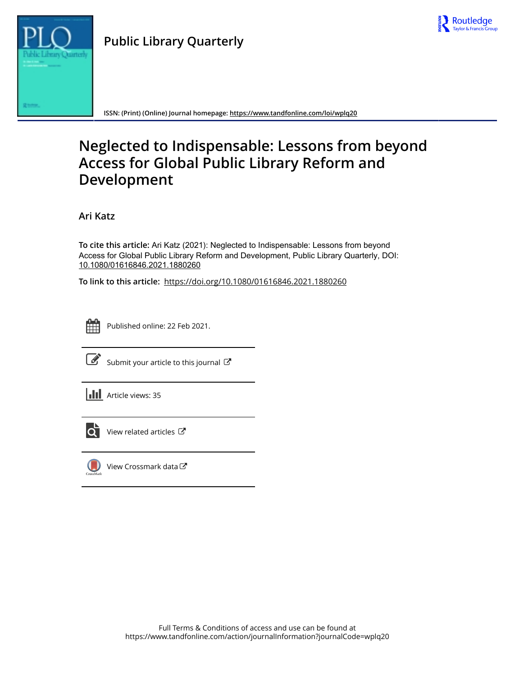



**ISSN: (Print) (Online) Journal homepage:<https://www.tandfonline.com/loi/wplq20>**

# **Neglected to Indispensable: Lessons from beyond Access for Global Public Library Reform and Development**

**Ari Katz**

**To cite this article:** Ari Katz (2021): Neglected to Indispensable: Lessons from beyond Access for Global Public Library Reform and Development, Public Library Quarterly, DOI: [10.1080/01616846.2021.1880260](https://www.tandfonline.com/action/showCitFormats?doi=10.1080/01616846.2021.1880260)

**To link to this article:** <https://doi.org/10.1080/01616846.2021.1880260>



Published online: 22 Feb 2021.



 $\overrightarrow{S}$  [Submit your article to this journal](https://www.tandfonline.com/action/authorSubmission?journalCode=wplq20&show=instructions)  $\overrightarrow{S}$ 





 $\overline{\mathbf{C}}$  [View related articles](https://www.tandfonline.com/doi/mlt/10.1080/01616846.2021.1880260)  $\mathbf{C}$ 



[View Crossmark data](http://crossmark.crossref.org/dialog/?doi=10.1080/01616846.2021.1880260&domain=pdf&date_stamp=2021-02-22)<sup>で</sup>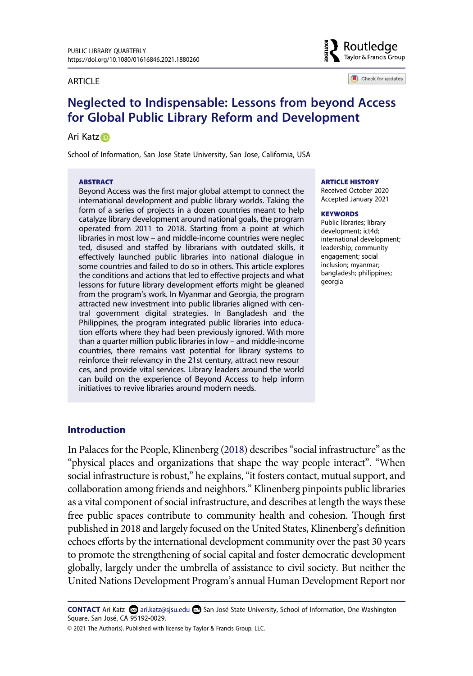#### ARTICLE



Check for updates

# **Neglected to Indispensable: Lessons from beyond Access for Global Public Library Reform and Development**

#### Ari Katz

School of Information, San Jose State University, San Jose, California, USA

#### **ABSTRACT**

Beyond Access was the first major global attempt to connect the international development and public library worlds. Taking the form of a series of projects in a dozen countries meant to help catalyze library development around national goals, the program operated from 2011 to 2018. Starting from a point at which libraries in most low – and middle-income countries were neglec ted, disused and staffed by librarians with outdated skills, it effectively launched public libraries into national dialogue in some countries and failed to do so in others. This article explores the conditions and actions that led to effective projects and what lessons for future library development efforts might be gleaned from the program's work. In Myanmar and Georgia, the program attracted new investment into public libraries aligned with central government digital strategies. In Bangladesh and the Philippines, the program integrated public libraries into education efforts where they had been previously ignored. With more than a quarter million public libraries in low – and middle-income countries, there remains vast potential for library systems to reinforce their relevancy in the 21st century, attract new resour ces, and provide vital services. Library leaders around the world can build on the experience of Beyond Access to help inform initiatives to revive libraries around modern needs.

#### **ARTICLE HISTORY**

Received October 2020 Accepted January 2021

#### **KEYWORDS**

Public libraries; library development; ict4d; international development; leadership; community engagement; social inclusion; myanmar; bangladesh; philippines; georgia

#### **Introduction**

<span id="page-1-0"></span>In Palaces for the People, Klinenberg [\(2018\)](#page-19-0) describes "social infrastructure" as the "physical places and organizations that shape the way people interact". "When social infrastructure is robust," he explains, "it fosters contact, mutual support, and collaboration among friends and neighbors." Klinenberg pinpoints public libraries as a vital component of social infrastructure, and describes at length the ways these free public spaces contribute to community health and cohesion. Though first published in 2018 and largely focused on the United States, Klinenberg's definition echoes efforts by the international development community over the past 30 years to promote the strengthening of social capital and foster democratic development globally, largely under the umbrella of assistance to civil society. But neither the United Nations Development Program's annual Human Development Report nor

**CONTACT** Ari Katz <sup>2</sup>ari.katz@sjsu.edu **■** San José State University, School of Information, One Washington Square, San José, CA 95192-0029.

© 2021 The Author(s). Published with license by Taylor & Francis Group, LLC.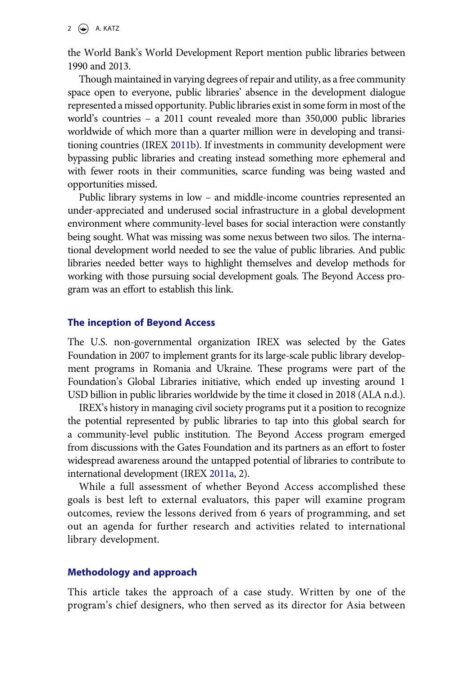the World Bank's World Development Report mention public libraries between 1990 and 2013.

Though maintained in varying degrees of repair and utility, as a free community space open to everyone, public libraries' absence in the development dialogue represented a missed opportunity. Public libraries exist in some form in most of the world's countries – a 2011 count revealed more than 350,000 public libraries worldwide of which more than a quarter million were in developing and transitioning countries (IREX [2011b\)](#page-19-1). If investments in community development were bypassing public libraries and creating instead something more ephemeral and with fewer roots in their communities, scarce funding was being wasted and opportunities missed.

<span id="page-2-1"></span>Public library systems in low – and middle-income countries represented an under-appreciated and underused social infrastructure in a global development environment where community-level bases for social interaction were constantly being sought. What was missing was some nexus between two silos. The international development world needed to see the value of public libraries. And public libraries needed better ways to highlight themselves and develop methods for working with those pursuing social development goals. The Beyond Access program was an effort to establish this link.

## **The inception of Beyond Access**

The U.S. non-governmental organization IREX was selected by the Gates Foundation in 2007 to implement grants for its large-scale public library development programs in Romania and Ukraine. These programs were part of the Foundation's Global Libraries initiative, which ended up investing around 1 USD billion in public libraries worldwide by the time it closed in 2018 (ALA n.d.).

IREX's history in managing civil society programs put it a position to recognize the potential represented by public libraries to tap into this global search for a community-level public institution. The Beyond Access program emerged from discussions with the Gates Foundation and its partners as an effort to foster widespread awareness around the untapped potential of libraries to contribute to international development (IREX [2011a](#page-19-2), 2).

<span id="page-2-0"></span>While a full assessment of whether Beyond Access accomplished these goals is best left to external evaluators, this paper will examine program outcomes, review the lessons derived from 6 years of programming, and set out an agenda for further research and activities related to international library development.

#### **Methodology and approach**

This article takes the approach of a case study. Written by one of the program's chief designers, who then served as its director for Asia between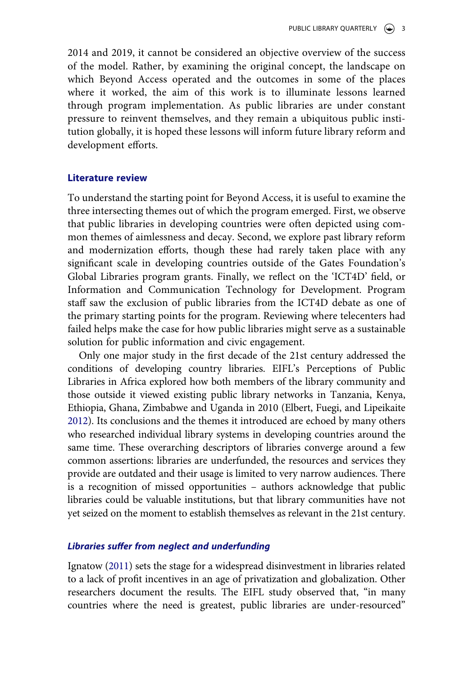2014 and 2019, it cannot be considered an objective overview of the success of the model. Rather, by examining the original concept, the landscape on which Beyond Access operated and the outcomes in some of the places where it worked, the aim of this work is to illuminate lessons learned through program implementation. As public libraries are under constant pressure to reinvent themselves, and they remain a ubiquitous public institution globally, it is hoped these lessons will inform future library reform and development efforts.

#### **Literature review**

To understand the starting point for Beyond Access, it is useful to examine the three intersecting themes out of which the program emerged. First, we observe that public libraries in developing countries were often depicted using common themes of aimlessness and decay. Second, we explore past library reform and modernization efforts, though these had rarely taken place with any significant scale in developing countries outside of the Gates Foundation's Global Libraries program grants. Finally, we reflect on the 'ICT4D' field, or Information and Communication Technology for Development. Program staff saw the exclusion of public libraries from the ICT4D debate as one of the primary starting points for the program. Reviewing where telecenters had failed helps make the case for how public libraries might serve as a sustainable solution for public information and civic engagement.

<span id="page-3-0"></span>Only one major study in the first decade of the 21st century addressed the conditions of developing country libraries. EIFL's Perceptions of Public Libraries in Africa explored how both members of the library community and those outside it viewed existing public library networks in Tanzania, Kenya, Ethiopia, Ghana, Zimbabwe and Uganda in 2010 (Elbert, Fuegi, and Lipeikaite [2012\)](#page-18-0). Its conclusions and the themes it introduced are echoed by many others who researched individual library systems in developing countries around the same time. These overarching descriptors of libraries converge around a few common assertions: libraries are underfunded, the resources and services they provide are outdated and their usage is limited to very narrow audiences. There is a recognition of missed opportunities – authors acknowledge that public libraries could be valuable institutions, but that library communities have not yet seized on the moment to establish themselves as relevant in the 21st century.

#### *Libraries suffer from neglect and underfunding*

<span id="page-3-1"></span>Ignatow ([2011](#page-19-3)) sets the stage for a widespread disinvestment in libraries related to a lack of profit incentives in an age of privatization and globalization. Other researchers document the results. The EIFL study observed that, "in many countries where the need is greatest, public libraries are under-resourced"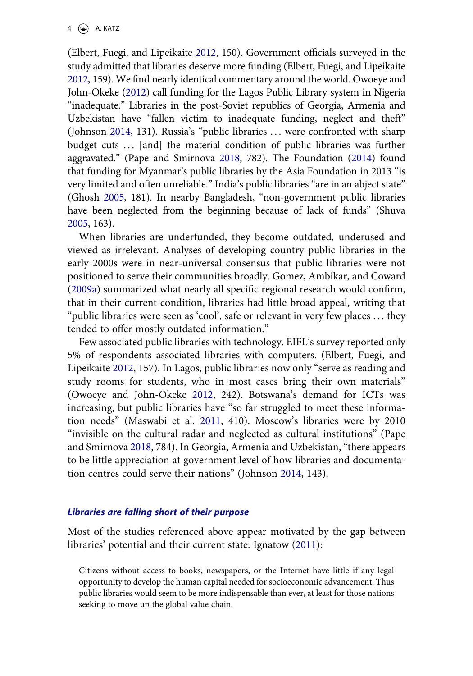(Elbert, Fuegi, and Lipeikaite [2012](#page-18-0), 150). Government officials surveyed in the study admitted that libraries deserve more funding (Elbert, Fuegi, and Lipeikaite [2012,](#page-18-0) 159). We find nearly identical commentary around the world. Owoeye and John-Okeke [\(2012\)](#page-20-0) call funding for the Lagos Public Library system in Nigeria "inadequate." Libraries in the post-Soviet republics of Georgia, Armenia and Uzbekistan have "fallen victim to inadequate funding, neglect and theft" (Johnson [2014,](#page-19-4) 131). Russia's "public libraries . . . were confronted with sharp budget cuts ... [and] the material condition of public libraries was further aggravated." (Pape and Smirnova [2018](#page-20-1), 782). The Foundation [\(2014](#page-19-5)) found that funding for Myanmar's public libraries by the Asia Foundation in 2013 "is very limited and often unreliable." India's public libraries "are in an abject state" (Ghosh [2005](#page-19-6), 181). In nearby Bangladesh, "non-government public libraries have been neglected from the beginning because of lack of funds" (Shuva [2005,](#page-20-2) 163).

<span id="page-4-7"></span><span id="page-4-2"></span><span id="page-4-1"></span><span id="page-4-0"></span>When libraries are underfunded, they become outdated, underused and viewed as irrelevant. Analyses of developing country public libraries in the early 2000s were in near-universal consensus that public libraries were not positioned to serve their communities broadly. Gomez, Ambikar, and Coward ([2009a](#page-19-7)) summarized what nearly all specific regional research would confirm, that in their current condition, libraries had little broad appeal, writing that "public libraries were seen as 'cool', safe or relevant in very few places . . . they tended to offer mostly outdated information."

<span id="page-4-5"></span><span id="page-4-4"></span>Few associated public libraries with technology. EIFL's survey reported only 5% of respondents associated libraries with computers. (Elbert, Fuegi, and Lipeikaite [2012](#page-18-0), 157). In Lagos, public libraries now only "serve as reading and study rooms for students, who in most cases bring their own materials" (Owoeye and John-Okeke [2012](#page-20-0), 242). Botswana's demand for ICTs was increasing, but public libraries have "so far struggled to meet these information needs" (Maswabi et al. [2011](#page-19-8), 410). Moscow's libraries were by 2010 "invisible on the cultural radar and neglected as cultural institutions" (Pape and Smirnova [2018,](#page-20-1) 784). In Georgia, Armenia and Uzbekistan, "there appears to be little appreciation at government level of how libraries and documentation centres could serve their nations" (Johnson [2014,](#page-19-4) 143).

#### <span id="page-4-6"></span><span id="page-4-3"></span>*Libraries are falling short of their purpose*

Most of the studies referenced above appear motivated by the gap between libraries' potential and their current state. Ignatow ([2011](#page-19-3)):

Citizens without access to books, newspapers, or the Internet have little if any legal opportunity to develop the human capital needed for socioeconomic advancement. Thus public libraries would seem to be more indispensable than ever, at least for those nations seeking to move up the global value chain.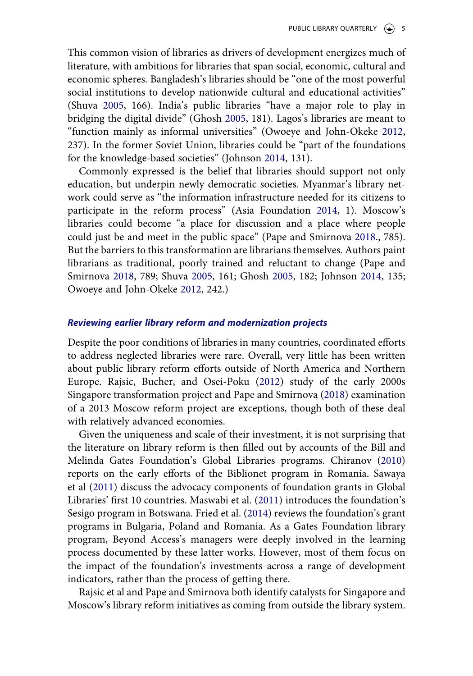This common vision of libraries as drivers of development energizes much of literature, with ambitions for libraries that span social, economic, cultural and economic spheres. Bangladesh's libraries should be "one of the most powerful social institutions to develop nationwide cultural and educational activities" (Shuva [2005,](#page-20-2) 166). India's public libraries "have a major role to play in bridging the digital divide" (Ghosh [2005,](#page-19-6) 181). Lagos's libraries are meant to "function mainly as informal universities" (Owoeye and John-Okeke [2012](#page-20-0), 237). In the former Soviet Union, libraries could be "part of the foundations for the knowledge-based societies" (Johnson [2014,](#page-19-4) 131).

Commonly expressed is the belief that libraries should support not only education, but underpin newly democratic societies. Myanmar's library network could serve as "the information infrastructure needed for its citizens to participate in the reform process" (Asia Foundation [2014](#page-19-5), 1). Moscow's libraries could become "a place for discussion and a place where people could just be and meet in the public space" (Pape and Smirnova [2018](#page-20-1)., 785). But the barriers to this transformation are librarians themselves. Authors paint librarians as traditional, poorly trained and reluctant to change (Pape and Smirnova [2018,](#page-20-1) 789; Shuva [2005](#page-20-2), 161; Ghosh [2005](#page-19-6), 182; Johnson [2014](#page-19-4), 135; Owoeye and John-Okeke [2012](#page-20-0), 242.)

#### *Reviewing earlier library reform and modernization projects*

<span id="page-5-2"></span>Despite the poor conditions of libraries in many countries, coordinated efforts to address neglected libraries were rare. Overall, very little has been written about public library reform efforts outside of North America and Northern Europe. Rajsic, Bucher, and Osei-Poku [\(2012](#page-20-3)) study of the early 2000s Singapore transformation project and Pape and Smirnova [\(2018](#page-20-1)) examination of a 2013 Moscow reform project are exceptions, though both of these deal with relatively advanced economies.

<span id="page-5-3"></span><span id="page-5-1"></span><span id="page-5-0"></span>Given the uniqueness and scale of their investment, it is not surprising that the literature on library reform is then filled out by accounts of the Bill and Melinda Gates Foundation's Global Libraries programs. Chiranov ([2010](#page-18-1)) reports on the early efforts of the Biblionet program in Romania. Sawaya et al [\(2011](#page-20-4)) discuss the advocacy components of foundation grants in Global Libraries' first 10 countries. Maswabi et al. [\(2011](#page-19-8)) introduces the foundation's Sesigo program in Botswana. Fried et al. ([2014\)](#page-19-9) reviews the foundation's grant programs in Bulgaria, Poland and Romania. As a Gates Foundation library program, Beyond Access's managers were deeply involved in the learning process documented by these latter works. However, most of them focus on the impact of the foundation's investments across a range of development indicators, rather than the process of getting there.

Rajsic et al and Pape and Smirnova both identify catalysts for Singapore and Moscow's library reform initiatives as coming from outside the library system.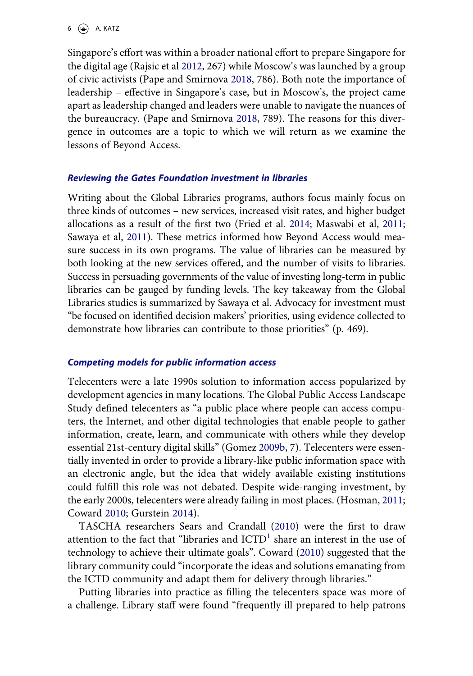Singapore's effort was within a broader national effort to prepare Singapore for the digital age (Rajsic et al [2012](#page-20-3), 267) while Moscow's was launched by a group of civic activists (Pape and Smirnova [2018](#page-20-1), 786). Both note the importance of leadership – effective in Singapore's case, but in Moscow's, the project came apart as leadership changed and leaders were unable to navigate the nuances of the bureaucracy. (Pape and Smirnova [2018,](#page-20-1) 789). The reasons for this divergence in outcomes are a topic to which we will return as we examine the lessons of Beyond Access.

## *Reviewing the Gates Foundation investment in libraries*

Writing about the Global Libraries programs, authors focus mainly focus on three kinds of outcomes – new services, increased visit rates, and higher budget allocations as a result of the first two (Fried et al. [2014;](#page-19-9) Maswabi et al, [2011](#page-19-8); Sawaya et al, [2011\)](#page-20-4). These metrics informed how Beyond Access would measure success in its own programs. The value of libraries can be measured by both looking at the new services offered, and the number of visits to libraries. Success in persuading governments of the value of investing long-term in public libraries can be gauged by funding levels. The key takeaway from the Global Libraries studies is summarized by Sawaya et al. Advocacy for investment must "be focused on identified decision makers' priorities, using evidence collected to demonstrate how libraries can contribute to those priorities" (p. 469).

## *Competing models for public information access*

<span id="page-6-1"></span>Telecenters were a late 1990s solution to information access popularized by development agencies in many locations. The Global Public Access Landscape Study defined telecenters as "a public place where people can access computers, the Internet, and other digital technologies that enable people to gather information, create, learn, and communicate with others while they develop essential 21st-century digital skills" (Gomez [2009b,](#page-19-10) 7). Telecenters were essentially invented in order to provide a library-like public information space with an electronic angle, but the idea that widely available existing institutions could fulfill this role was not debated. Despite wide-ranging investment, by the early 2000s, telecenters were already failing in most places. (Hosman, [2011](#page-19-11); Coward [2010](#page-18-2); Gurstein [2014\)](#page-19-12).

<span id="page-6-4"></span><span id="page-6-3"></span><span id="page-6-2"></span><span id="page-6-0"></span>TASCHA researchers Sears and Crandall [\(2010\)](#page-20-5) were the first to draw attention to the fact that "libraries and  $\text{ICTD}^1$  share an interest in the use of technology to achieve their ultimate goals". Coward [\(2010\)](#page-18-2) suggested that the library community could "incorporate the ideas and solutions emanating from the ICTD community and adapt them for delivery through libraries."

Putting libraries into practice as filling the telecenters space was more of a challenge. Library staff were found "frequently ill prepared to help patrons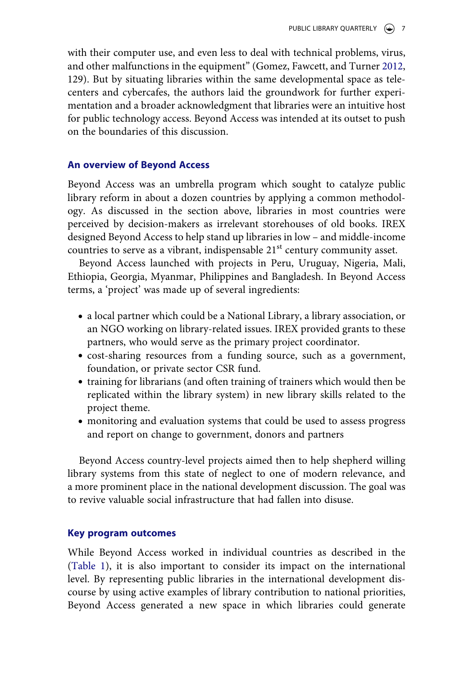<span id="page-7-0"></span>with their computer use, and even less to deal with technical problems, virus, and other malfunctions in the equipment" (Gomez, Fawcett, and Turner [2012](#page-19-13), 129). But by situating libraries within the same developmental space as telecenters and cybercafes, the authors laid the groundwork for further experimentation and a broader acknowledgment that libraries were an intuitive host for public technology access. Beyond Access was intended at its outset to push on the boundaries of this discussion.

## **An overview of Beyond Access**

Beyond Access was an umbrella program which sought to catalyze public library reform in about a dozen countries by applying a common methodology. As discussed in the section above, libraries in most countries were perceived by decision-makers as irrelevant storehouses of old books. IREX designed Beyond Access to help stand up libraries in low – and middle-income countries to serve as a vibrant, indispensable  $21<sup>st</sup>$  century community asset.

Beyond Access launched with projects in Peru, Uruguay, Nigeria, Mali, Ethiopia, Georgia, Myanmar, Philippines and Bangladesh. In Beyond Access terms, a 'project' was made up of several ingredients:

- a local partner which could be a National Library, a library association, or an NGO working on library-related issues. IREX provided grants to these partners, who would serve as the primary project coordinator.
- cost-sharing resources from a funding source, such as a government, foundation, or private sector CSR fund.
- training for librarians (and often training of trainers which would then be replicated within the library system) in new library skills related to the project theme.
- monitoring and evaluation systems that could be used to assess progress and report on change to government, donors and partners

Beyond Access country-level projects aimed then to help shepherd willing library systems from this state of neglect to one of modern relevance, and a more prominent place in the national development discussion. The goal was to revive valuable social infrastructure that had fallen into disuse.

#### **Key program outcomes**

While Beyond Access worked in individual countries as described in the ([Table 1](#page-8-0)), it is also important to consider its impact on the international level. By representing public libraries in the international development discourse by using active examples of library contribution to national priorities, Beyond Access generated a new space in which libraries could generate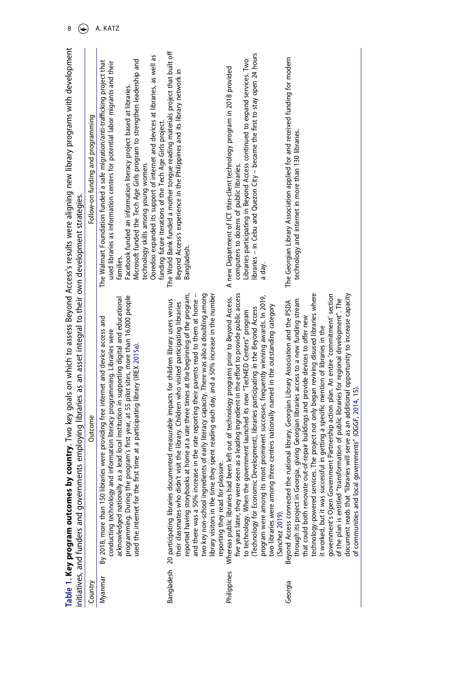<span id="page-8-3"></span><span id="page-8-2"></span><span id="page-8-1"></span><span id="page-8-0"></span>

|             | Table 1. Key program outcomes by cor                                                                                                                                                                                                                                                                                                                                                                                                                                                                                                                                                                                                                                                                                                                                                                                                                                        | untry. Two key goals on which to assess Beyond Access's results were aligning new library programs with development                                                                                                                                                                                                                                                                                                                                                                                               |
|-------------|-----------------------------------------------------------------------------------------------------------------------------------------------------------------------------------------------------------------------------------------------------------------------------------------------------------------------------------------------------------------------------------------------------------------------------------------------------------------------------------------------------------------------------------------------------------------------------------------------------------------------------------------------------------------------------------------------------------------------------------------------------------------------------------------------------------------------------------------------------------------------------|-------------------------------------------------------------------------------------------------------------------------------------------------------------------------------------------------------------------------------------------------------------------------------------------------------------------------------------------------------------------------------------------------------------------------------------------------------------------------------------------------------------------|
|             | employing libraries as an asset integral to their own development strategies.<br>initiatives, and funders and governments                                                                                                                                                                                                                                                                                                                                                                                                                                                                                                                                                                                                                                                                                                                                                   |                                                                                                                                                                                                                                                                                                                                                                                                                                                                                                                   |
| Country     | Outcome                                                                                                                                                                                                                                                                                                                                                                                                                                                                                                                                                                                                                                                                                                                                                                                                                                                                     | Follow-on funding and programming                                                                                                                                                                                                                                                                                                                                                                                                                                                                                 |
| Myanmar     | programming. During the program's first year, at 55 pilot sites, more than 16,000 people<br>acknowledged nationally as a lead local institution in supporting digital and educational<br>By 2018, more than 150 libraries were providing free internet and device access and<br>conducting technology and information literacy programming. Libraries were<br>used the internet for the first time at a participating library (IREX 2015a).                                                                                                                                                                                                                                                                                                                                                                                                                                 | Ooredoo expanded its support of internet and devices at libraries, as well as<br>Microsoft funded the Tech Age Girls program to strengthen leadership and<br>The Walmart Foundation funded a safe migration/anti-trafficking project that<br>used libraries as information centers for potential labor migrants and their<br>Facebook funded an information literacy project based at libraries.<br>funding future iterations of the Tech Age Girls project.<br>technology skills among young women.<br>families. |
|             | reported having storybooks at home at a rate three times at the beginning of the program,<br>two key non-school ingredients of early literacy capacity. There was also a doubling among<br>spent reading each day, and a 50% increase in the number<br>and there was a 50% increase in the rate reporting their parents read to them at home -<br>Bangladesh 20 participating libraries documented measurable impacts for children library users versus<br>their classmates who didn't visit the library. Children who visited participating libraries<br>reporting they read for pleasure<br>ibrary visitors in the time they :                                                                                                                                                                                                                                            | The World Bank funded a mother tongue reading materials project that built off<br>Beyond Access's experience in the Philippines and its library network in<br>Bangladesh.                                                                                                                                                                                                                                                                                                                                         |
| Philippines | five years later, they were seen as a leading ingredient in the effort to provide public access<br>prominent successes, frequently winning awards. In 2019,<br>Whereas public libraries had been left out of technology programs prior to Beyond Access,<br>centers nationally named in the outstanding category<br>(Technology for Economic Development), libraries participating in the Beyond Access<br>to technology. When the government launched its new "Tech4ED Centers" program<br>two libraries were among three<br>program were among its most<br>(Sanchez 2019).                                                                                                                                                                                                                                                                                                | libraries – in Cebu and Quezon City – became the first to stay open 24 hours<br>Libraries participating in Beyond Access continued to expand services. Two<br>A new Department of ICT thin-client technology program in 2018 provided<br>computers to dozens of public libraries.<br>a day.                                                                                                                                                                                                                       |
| Georgia     | The project not only began reviving disused libraries where<br>will serve as an additional opportunity to increase capacity<br>government's Open Government Partnership action plan. An entire 'commitment' section<br>of the plan is entitled "transformation of public libraries for regional development". The<br>giving Georgian libraries access to a new funding stream<br>Beyond Access connected the national library, Georgian Library Association and the PSDA<br>that could both renovate out-of-repair buildings and provide devices to offer new<br>technology-powered services. The project not only began reviving disused librarie:<br>in getting a specific mention of libraries in the<br>of communities and local governments" (OGGF, 2014, 15)<br>it worked, but it was successful<br>document reads that "libraries<br>through its project in Georgia, | The Georgian Library Association applied for and received funding for modern<br>technology and internet in more than 130 libraries.                                                                                                                                                                                                                                                                                                                                                                               |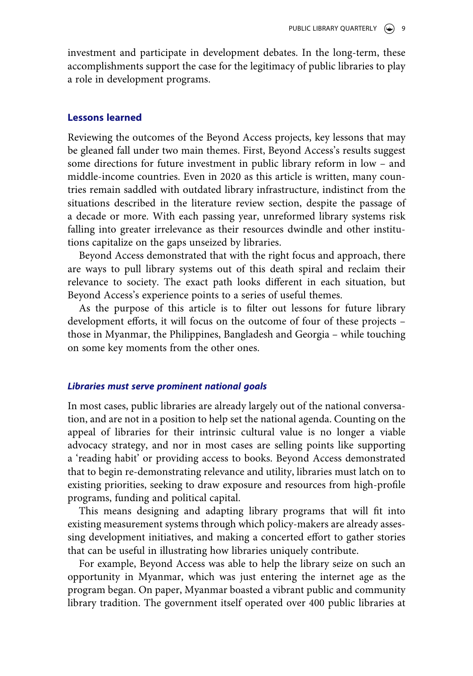investment and participate in development debates. In the long-term, these accomplishments support the case for the legitimacy of public libraries to play a role in development programs.

## **Lessons learned**

Reviewing the outcomes of the Beyond Access projects, key lessons that may be gleaned fall under two main themes. First, Beyond Access's results suggest some directions for future investment in public library reform in low – and middle-income countries. Even in 2020 as this article is written, many countries remain saddled with outdated library infrastructure, indistinct from the situations described in the literature review section, despite the passage of a decade or more. With each passing year, unreformed library systems risk falling into greater irrelevance as their resources dwindle and other institutions capitalize on the gaps unseized by libraries.

Beyond Access demonstrated that with the right focus and approach, there are ways to pull library systems out of this death spiral and reclaim their relevance to society. The exact path looks different in each situation, but Beyond Access's experience points to a series of useful themes.

As the purpose of this article is to filter out lessons for future library development efforts, it will focus on the outcome of four of these projects – those in Myanmar, the Philippines, Bangladesh and Georgia – while touching on some key moments from the other ones.

#### *Libraries must serve prominent national goals*

In most cases, public libraries are already largely out of the national conversation, and are not in a position to help set the national agenda. Counting on the appeal of libraries for their intrinsic cultural value is no longer a viable advocacy strategy, and nor in most cases are selling points like supporting a 'reading habit' or providing access to books. Beyond Access demonstrated that to begin re-demonstrating relevance and utility, libraries must latch on to existing priorities, seeking to draw exposure and resources from high-profile programs, funding and political capital.

This means designing and adapting library programs that will fit into existing measurement systems through which policy-makers are already assessing development initiatives, and making a concerted effort to gather stories that can be useful in illustrating how libraries uniquely contribute.

For example, Beyond Access was able to help the library seize on such an opportunity in Myanmar, which was just entering the internet age as the program began. On paper, Myanmar boasted a vibrant public and community library tradition. The government itself operated over 400 public libraries at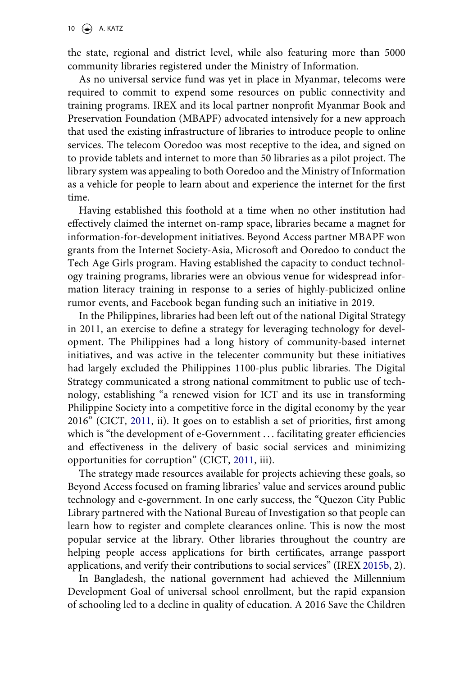the state, regional and district level, while also featuring more than 5000 community libraries registered under the Ministry of Information.

As no universal service fund was yet in place in Myanmar, telecoms were required to commit to expend some resources on public connectivity and training programs. IREX and its local partner nonprofit Myanmar Book and Preservation Foundation (MBAPF) advocated intensively for a new approach that used the existing infrastructure of libraries to introduce people to online services. The telecom Ooredoo was most receptive to the idea, and signed on to provide tablets and internet to more than 50 libraries as a pilot project. The library system was appealing to both Ooredoo and the Ministry of Information as a vehicle for people to learn about and experience the internet for the first time.

Having established this foothold at a time when no other institution had effectively claimed the internet on-ramp space, libraries became a magnet for information-for-development initiatives. Beyond Access partner MBAPF won grants from the Internet Society-Asia, Microsoft and Ooredoo to conduct the Tech Age Girls program. Having established the capacity to conduct technology training programs, libraries were an obvious venue for widespread information literacy training in response to a series of highly-publicized online rumor events, and Facebook began funding such an initiative in 2019.

In the Philippines, libraries had been left out of the national Digital Strategy in 2011, an exercise to define a strategy for leveraging technology for development. The Philippines had a long history of community-based internet initiatives, and was active in the telecenter community but these initiatives had largely excluded the Philippines 1100-plus public libraries. The Digital Strategy communicated a strong national commitment to public use of technology, establishing "a renewed vision for ICT and its use in transforming Philippine Society into a competitive force in the digital economy by the year 2016" (CICT, [2011](#page-20-8), ii). It goes on to establish a set of priorities, first among which is "the development of e-Government . . . facilitating greater efficiencies and effectiveness in the delivery of basic social services and minimizing opportunities for corruption" (CICT, [2011,](#page-20-8) iii).

<span id="page-10-1"></span>The strategy made resources available for projects achieving these goals, so Beyond Access focused on framing libraries' value and services around public technology and e-government. In one early success, the "Quezon City Public Library partnered with the National Bureau of Investigation so that people can learn how to register and complete clearances online. This is now the most popular service at the library. Other libraries throughout the country are helping people access applications for birth certificates, arrange passport applications, and verify their contributions to social services" (IREX [2015b,](#page-19-15) 2).

<span id="page-10-0"></span>In Bangladesh, the national government had achieved the Millennium Development Goal of universal school enrollment, but the rapid expansion of schooling led to a decline in quality of education. A 2016 Save the Children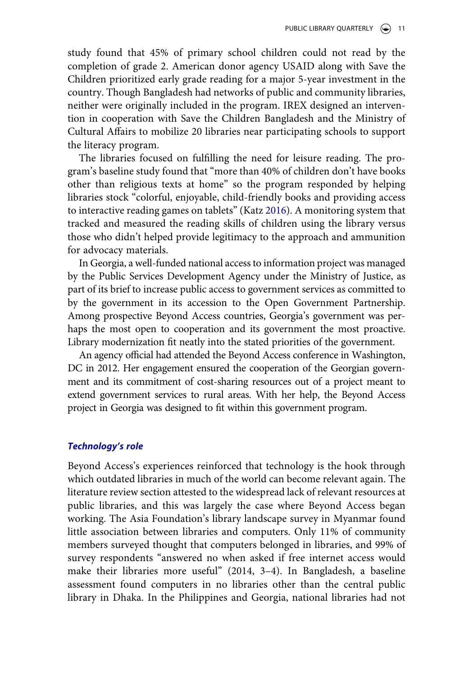study found that 45% of primary school children could not read by the completion of grade 2. American donor agency USAID along with Save the Children prioritized early grade reading for a major 5-year investment in the country. Though Bangladesh had networks of public and community libraries, neither were originally included in the program. IREX designed an intervention in cooperation with Save the Children Bangladesh and the Ministry of Cultural Affairs to mobilize 20 libraries near participating schools to support the literacy program.

<span id="page-11-0"></span>The libraries focused on fulfilling the need for leisure reading. The program's baseline study found that "more than 40% of children don't have books other than religious texts at home" so the program responded by helping libraries stock "colorful, enjoyable, child-friendly books and providing access to interactive reading games on tablets" (Katz [2016\)](#page-19-16). A monitoring system that tracked and measured the reading skills of children using the library versus those who didn't helped provide legitimacy to the approach and ammunition for advocacy materials.

In Georgia, a well-funded national access to information project was managed by the Public Services Development Agency under the Ministry of Justice, as part of its brief to increase public access to government services as committed to by the government in its accession to the Open Government Partnership. Among prospective Beyond Access countries, Georgia's government was perhaps the most open to cooperation and its government the most proactive. Library modernization fit neatly into the stated priorities of the government.

An agency official had attended the Beyond Access conference in Washington, DC in 2012. Her engagement ensured the cooperation of the Georgian government and its commitment of cost-sharing resources out of a project meant to extend government services to rural areas. With her help, the Beyond Access project in Georgia was designed to fit within this government program.

#### *Technology's role*

Beyond Access's experiences reinforced that technology is the hook through which outdated libraries in much of the world can become relevant again. The literature review section attested to the widespread lack of relevant resources at public libraries, and this was largely the case where Beyond Access began working. The Asia Foundation's library landscape survey in Myanmar found little association between libraries and computers. Only 11% of community members surveyed thought that computers belonged in libraries, and 99% of survey respondents "answered no when asked if free internet access would make their libraries more useful" (2014, 3–4). In Bangladesh, a baseline assessment found computers in no libraries other than the central public library in Dhaka. In the Philippines and Georgia, national libraries had not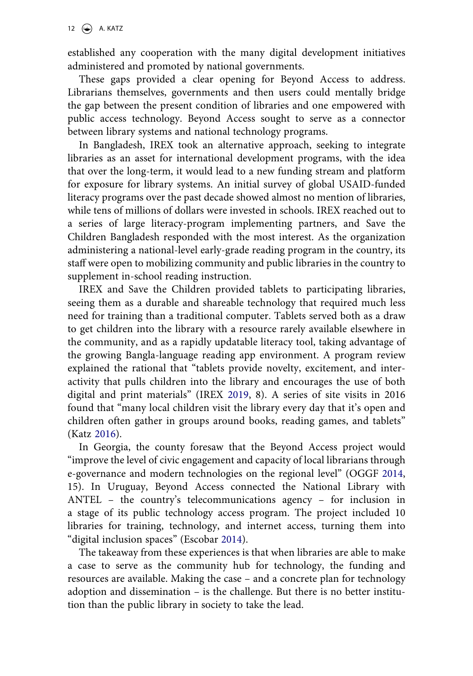established any cooperation with the many digital development initiatives administered and promoted by national governments.

These gaps provided a clear opening for Beyond Access to address. Librarians themselves, governments and then users could mentally bridge the gap between the present condition of libraries and one empowered with public access technology. Beyond Access sought to serve as a connector between library systems and national technology programs.

In Bangladesh, IREX took an alternative approach, seeking to integrate libraries as an asset for international development programs, with the idea that over the long-term, it would lead to a new funding stream and platform for exposure for library systems. An initial survey of global USAID-funded literacy programs over the past decade showed almost no mention of libraries, while tens of millions of dollars were invested in schools. IREX reached out to a series of large literacy-program implementing partners, and Save the Children Bangladesh responded with the most interest. As the organization administering a national-level early-grade reading program in the country, its staff were open to mobilizing community and public libraries in the country to supplement in-school reading instruction.

IREX and Save the Children provided tablets to participating libraries, seeing them as a durable and shareable technology that required much less need for training than a traditional computer. Tablets served both as a draw to get children into the library with a resource rarely available elsewhere in the community, and as a rapidly updatable literacy tool, taking advantage of the growing Bangla-language reading app environment. A program review explained the rational that "tablets provide novelty, excitement, and interactivity that pulls children into the library and encourages the use of both digital and print materials" (IREX [2019,](#page-19-17) 8). A series of site visits in 2016 found that "many local children visit the library every day that it's open and children often gather in groups around books, reading games, and tablets" (Katz [2016](#page-19-16)).

<span id="page-12-1"></span>In Georgia, the county foresaw that the Beyond Access project would "improve the level of civic engagement and capacity of local librarians through e-governance and modern technologies on the regional level" (OGGF [2014](#page-20-7), 15). In Uruguay, Beyond Access connected the National Library with ANTEL – the country's telecommunications agency – for inclusion in a stage of its public technology access program. The project included 10 libraries for training, technology, and internet access, turning them into "digital inclusion spaces" (Escobar [2014\)](#page-18-4).

<span id="page-12-0"></span>The takeaway from these experiences is that when libraries are able to make a case to serve as the community hub for technology, the funding and resources are available. Making the case – and a concrete plan for technology adoption and dissemination – is the challenge. But there is no better institution than the public library in society to take the lead.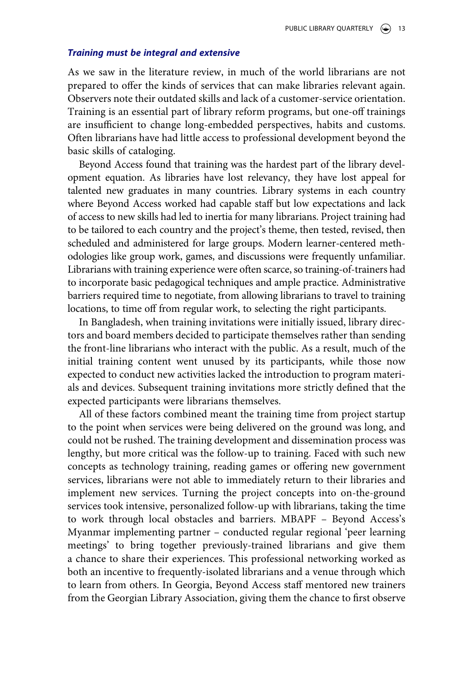#### *Training must be integral and extensive*

As we saw in the literature review, in much of the world librarians are not prepared to offer the kinds of services that can make libraries relevant again. Observers note their outdated skills and lack of a customer-service orientation. Training is an essential part of library reform programs, but one-off trainings are insufficient to change long-embedded perspectives, habits and customs. Often librarians have had little access to professional development beyond the basic skills of cataloging.

Beyond Access found that training was the hardest part of the library development equation. As libraries have lost relevancy, they have lost appeal for talented new graduates in many countries. Library systems in each country where Beyond Access worked had capable staff but low expectations and lack of access to new skills had led to inertia for many librarians. Project training had to be tailored to each country and the project's theme, then tested, revised, then scheduled and administered for large groups. Modern learner-centered methodologies like group work, games, and discussions were frequently unfamiliar. Librarians with training experience were often scarce, so training-of-trainers had to incorporate basic pedagogical techniques and ample practice. Administrative barriers required time to negotiate, from allowing librarians to travel to training locations, to time off from regular work, to selecting the right participants.

In Bangladesh, when training invitations were initially issued, library directors and board members decided to participate themselves rather than sending the front-line librarians who interact with the public. As a result, much of the initial training content went unused by its participants, while those now expected to conduct new activities lacked the introduction to program materials and devices. Subsequent training invitations more strictly defined that the expected participants were librarians themselves.

All of these factors combined meant the training time from project startup to the point when services were being delivered on the ground was long, and could not be rushed. The training development and dissemination process was lengthy, but more critical was the follow-up to training. Faced with such new concepts as technology training, reading games or offering new government services, librarians were not able to immediately return to their libraries and implement new services. Turning the project concepts into on-the-ground services took intensive, personalized follow-up with librarians, taking the time to work through local obstacles and barriers. MBAPF – Beyond Access's Myanmar implementing partner – conducted regular regional 'peer learning meetings' to bring together previously-trained librarians and give them a chance to share their experiences. This professional networking worked as both an incentive to frequently-isolated librarians and a venue through which to learn from others. In Georgia, Beyond Access staff mentored new trainers from the Georgian Library Association, giving them the chance to first observe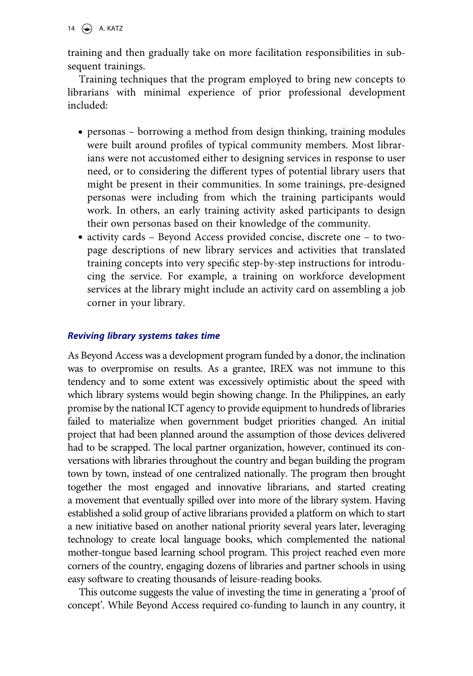14  $\left(\bigstar\right)$  A. KATZ

training and then gradually take on more facilitation responsibilities in subsequent trainings.

Training techniques that the program employed to bring new concepts to librarians with minimal experience of prior professional development included:

- personas borrowing a method from design thinking, training modules were built around profiles of typical community members. Most librarians were not accustomed either to designing services in response to user need, or to considering the different types of potential library users that might be present in their communities. In some trainings, pre-designed personas were including from which the training participants would work. In others, an early training activity asked participants to design their own personas based on their knowledge of the community.
- activity cards Beyond Access provided concise, discrete one to twopage descriptions of new library services and activities that translated training concepts into very specific step-by-step instructions for introducing the service. For example, a training on workforce development services at the library might include an activity card on assembling a job corner in your library.

## *Reviving library systems takes time*

As Beyond Access was a development program funded by a donor, the inclination was to overpromise on results. As a grantee, IREX was not immune to this tendency and to some extent was excessively optimistic about the speed with which library systems would begin showing change. In the Philippines, an early promise by the national ICT agency to provide equipment to hundreds of libraries failed to materialize when government budget priorities changed. An initial project that had been planned around the assumption of those devices delivered had to be scrapped. The local partner organization, however, continued its conversations with libraries throughout the country and began building the program town by town, instead of one centralized nationally. The program then brought together the most engaged and innovative librarians, and started creating a movement that eventually spilled over into more of the library system. Having established a solid group of active librarians provided a platform on which to start a new initiative based on another national priority several years later, leveraging technology to create local language books, which complemented the national mother-tongue based learning school program. This project reached even more corners of the country, engaging dozens of libraries and partner schools in using easy software to creating thousands of leisure-reading books.

This outcome suggests the value of investing the time in generating a 'proof of concept'. While Beyond Access required co-funding to launch in any country, it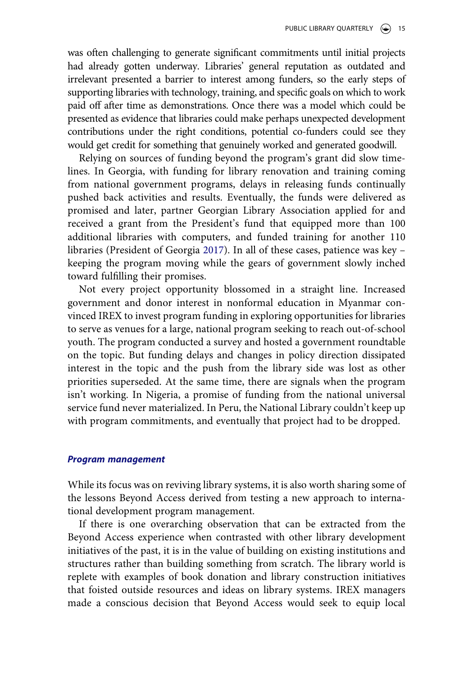was often challenging to generate significant commitments until initial projects had already gotten underway. Libraries' general reputation as outdated and irrelevant presented a barrier to interest among funders, so the early steps of supporting libraries with technology, training, and specific goals on which to work paid off after time as demonstrations. Once there was a model which could be presented as evidence that libraries could make perhaps unexpected development contributions under the right conditions, potential co-funders could see they would get credit for something that genuinely worked and generated goodwill.

Relying on sources of funding beyond the program's grant did slow timelines. In Georgia, with funding for library renovation and training coming from national government programs, delays in releasing funds continually pushed back activities and results. Eventually, the funds were delivered as promised and later, partner Georgian Library Association applied for and received a grant from the President's fund that equipped more than 100 additional libraries with computers, and funded training for another 110 libraries (President of Georgia [2017](#page-20-9)). In all of these cases, patience was key – keeping the program moving while the gears of government slowly inched toward fulfilling their promises.

<span id="page-15-0"></span>Not every project opportunity blossomed in a straight line. Increased government and donor interest in nonformal education in Myanmar convinced IREX to invest program funding in exploring opportunities for libraries to serve as venues for a large, national program seeking to reach out-of-school youth. The program conducted a survey and hosted a government roundtable on the topic. But funding delays and changes in policy direction dissipated interest in the topic and the push from the library side was lost as other priorities superseded. At the same time, there are signals when the program isn't working. In Nigeria, a promise of funding from the national universal service fund never materialized. In Peru, the National Library couldn't keep up with program commitments, and eventually that project had to be dropped.

#### *Program management*

While its focus was on reviving library systems, it is also worth sharing some of the lessons Beyond Access derived from testing a new approach to international development program management.

If there is one overarching observation that can be extracted from the Beyond Access experience when contrasted with other library development initiatives of the past, it is in the value of building on existing institutions and structures rather than building something from scratch. The library world is replete with examples of book donation and library construction initiatives that foisted outside resources and ideas on library systems. IREX managers made a conscious decision that Beyond Access would seek to equip local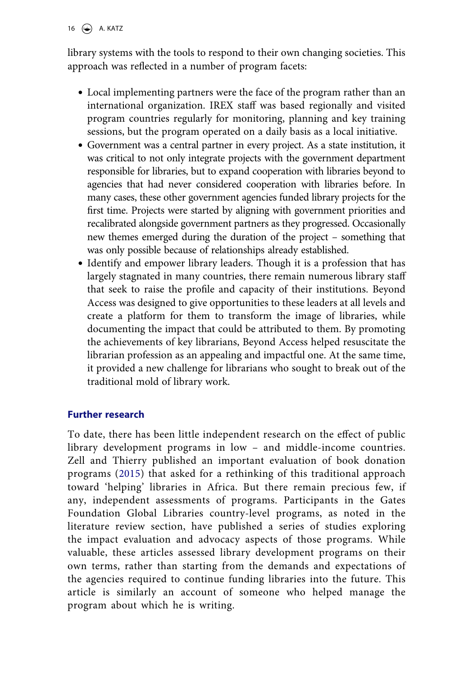library systems with the tools to respond to their own changing societies. This approach was reflected in a number of program facets:

- Local implementing partners were the face of the program rather than an international organization. IREX staff was based regionally and visited program countries regularly for monitoring, planning and key training sessions, but the program operated on a daily basis as a local initiative.
- Government was a central partner in every project. As a state institution, it was critical to not only integrate projects with the government department responsible for libraries, but to expand cooperation with libraries beyond to agencies that had never considered cooperation with libraries before. In many cases, these other government agencies funded library projects for the first time. Projects were started by aligning with government priorities and recalibrated alongside government partners as they progressed. Occasionally new themes emerged during the duration of the project – something that was only possible because of relationships already established.
- Identify and empower library leaders. Though it is a profession that has largely stagnated in many countries, there remain numerous library staff that seek to raise the profile and capacity of their institutions. Beyond Access was designed to give opportunities to these leaders at all levels and create a platform for them to transform the image of libraries, while documenting the impact that could be attributed to them. By promoting the achievements of key librarians, Beyond Access helped resuscitate the librarian profession as an appealing and impactful one. At the same time, it provided a new challenge for librarians who sought to break out of the traditional mold of library work.

## **Further research**

<span id="page-16-0"></span>To date, there has been little independent research on the effect of public library development programs in low – and middle-income countries. Zell and Thierry published an important evaluation of book donation programs ([2015\)](#page-20-10) that asked for a rethinking of this traditional approach toward 'helping' libraries in Africa. But there remain precious few, if any, independent assessments of programs. Participants in the Gates Foundation Global Libraries country-level programs, as noted in the literature review section, have published a series of studies exploring the impact evaluation and advocacy aspects of those programs. While valuable, these articles assessed library development programs on their own terms, rather than starting from the demands and expectations of the agencies required to continue funding libraries into the future. This article is similarly an account of someone who helped manage the program about which he is writing.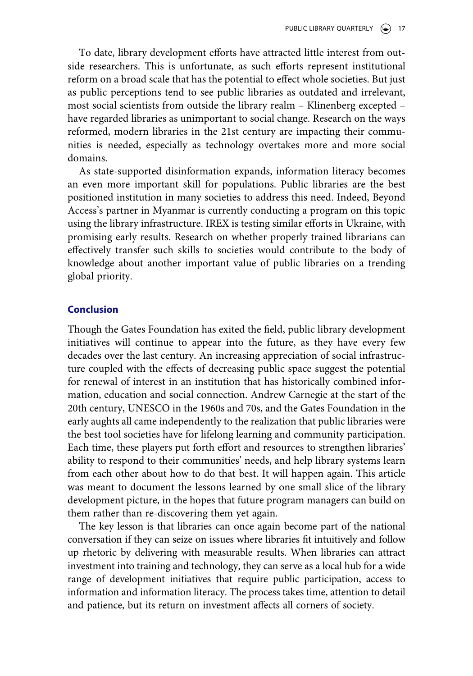To date, library development efforts have attracted little interest from outside researchers. This is unfortunate, as such efforts represent institutional reform on a broad scale that has the potential to effect whole societies. But just as public perceptions tend to see public libraries as outdated and irrelevant, most social scientists from outside the library realm – Klinenberg excepted – have regarded libraries as unimportant to social change. Research on the ways reformed, modern libraries in the 21st century are impacting their communities is needed, especially as technology overtakes more and more social domains.

As state-supported disinformation expands, information literacy becomes an even more important skill for populations. Public libraries are the best positioned institution in many societies to address this need. Indeed, Beyond Access's partner in Myanmar is currently conducting a program on this topic using the library infrastructure. IREX is testing similar efforts in Ukraine, with promising early results. Research on whether properly trained librarians can effectively transfer such skills to societies would contribute to the body of knowledge about another important value of public libraries on a trending global priority.

#### **Conclusion**

Though the Gates Foundation has exited the field, public library development initiatives will continue to appear into the future, as they have every few decades over the last century. An increasing appreciation of social infrastructure coupled with the effects of decreasing public space suggest the potential for renewal of interest in an institution that has historically combined information, education and social connection. Andrew Carnegie at the start of the 20th century, UNESCO in the 1960s and 70s, and the Gates Foundation in the early aughts all came independently to the realization that public libraries were the best tool societies have for lifelong learning and community participation. Each time, these players put forth effort and resources to strengthen libraries' ability to respond to their communities' needs, and help library systems learn from each other about how to do that best. It will happen again. This article was meant to document the lessons learned by one small slice of the library development picture, in the hopes that future program managers can build on them rather than re-discovering them yet again.

The key lesson is that libraries can once again become part of the national conversation if they can seize on issues where libraries fit intuitively and follow up rhetoric by delivering with measurable results. When libraries can attract investment into training and technology, they can serve as a local hub for a wide range of development initiatives that require public participation, access to information and information literacy. The process takes time, attention to detail and patience, but its return on investment affects all corners of society.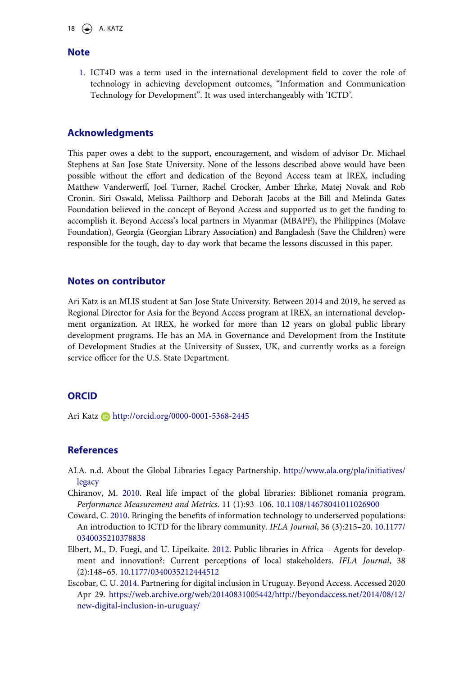18  $\leftarrow$  A. KATZ

#### **Note**

<span id="page-18-3"></span>1. ICT4D was a term used in the international development field to cover the role of technology in achieving development outcomes, "Information and Communication Technology for Development". It was used interchangeably with 'ICTD'.

#### **Acknowledgments**

This paper owes a debt to the support, encouragement, and wisdom of advisor Dr. Michael Stephens at San Jose State University. None of the lessons described above would have been possible without the effort and dedication of the Beyond Access team at IREX, including Matthew Vanderwerff, Joel Turner, Rachel Crocker, Amber Ehrke, Matej Novak and Rob Cronin. Siri Oswald, Melissa Pailthorp and Deborah Jacobs at the Bill and Melinda Gates Foundation believed in the concept of Beyond Access and supported us to get the funding to accomplish it. Beyond Access's local partners in Myanmar (MBAPF), the Philippines (Molave Foundation), Georgia (Georgian Library Association) and Bangladesh (Save the Children) were responsible for the tough, day-to-day work that became the lessons discussed in this paper.

#### **Notes on contributor**

Ari Katz is an MLIS student at San Jose State University. Between 2014 and 2019, he served as Regional Director for Asia for the Beyond Access program at IREX, an international development organization. At IREX, he worked for more than 12 years on global public library development programs. He has an MA in Governance and Development from the Institute of Development Studies at the University of Sussex, UK, and currently works as a foreign service officer for the U.S. State Department.

#### **ORCID**

Ari Katz **h**ttp://orcid.org/0000-0001-5368-2445

### **References**

- ALA. n.d. About the Global Libraries Legacy Partnership. [http://www.ala.org/pla/initiatives/](http://www.ala.org/pla/initiatives/legacy)  [legacy](http://www.ala.org/pla/initiatives/legacy)
- <span id="page-18-1"></span>Chiranov, M. [2010.](#page-5-0) Real life impact of the global libraries: Biblionet romania program. *Performance Measurement and Metrics*. 11 (1):93–106. [10.1108/14678041011026900](https://doi.org/10.1108/14678041011026900)
- <span id="page-18-2"></span>Coward, C. [2010.](#page-6-0) Bringing the benefits of information technology to underserved populations: An introduction to ICTD for the library community. *IFLA Journal*, 36 (3):215–20. [10.1177/](https://doi.org/10.1177/0340035210378838) [0340035210378838](https://doi.org/10.1177/0340035210378838)
- <span id="page-18-0"></span>Elbert, M., D. Fuegi, and U. Lipeikaite. [2012](#page-3-0). Public libraries in Africa – Agents for development and innovation?: Current perceptions of local stakeholders. *IFLA Journal*, 38 (2):148–65. [10.1177/0340035212444512](https://doi.org/10.1177/0340035212444512)
- <span id="page-18-4"></span>Escobar, C. U. [2014](#page-12-0). Partnering for digital inclusion in Uruguay. Beyond Access. Accessed 2020 Apr 29. [https://web.archive.org/web/20140831005442/http://beyondaccess.net/2014/08/12/](https://web.archive.org/web/20140831005442/http://beyondaccess.net/2014/08/12/new-digital-inclusion-in-uruguay/)  [new-digital-inclusion-in-uruguay/](https://web.archive.org/web/20140831005442/http://beyondaccess.net/2014/08/12/new-digital-inclusion-in-uruguay/)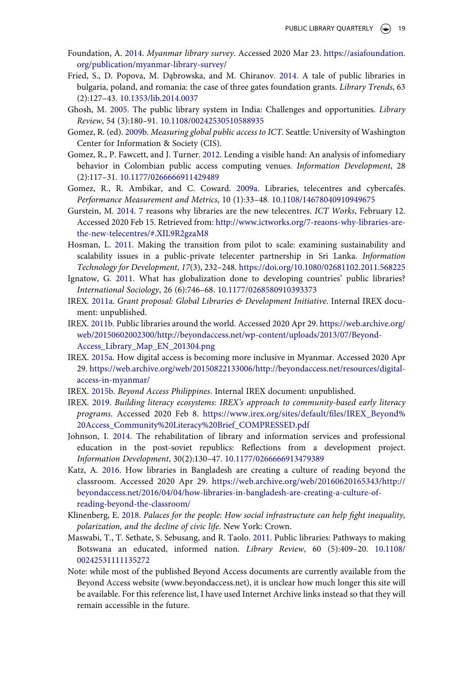- <span id="page-19-5"></span>Foundation, A. [2014](#page-4-0). *Myanmar library survey*. Accessed 2020 Mar 23. [https://asiafoundation.](https://asiafoundation.org/publication/myanmar-library-survey/)  [org/publication/myanmar-library-survey/](https://asiafoundation.org/publication/myanmar-library-survey/)
- <span id="page-19-9"></span>Fried, S., D. Popova, M. Dąbrowska, and M. Chiranov. [2014.](#page-5-1) A tale of public libraries in bulgaria, poland, and romania: the case of three gates foundation grants. *Library Trends*, 63 (2):127–43. [10.1353/lib.2014.0037](https://doi.org/10.1353/lib.2014.0037)
- <span id="page-19-6"></span>Ghosh, M. [2005](#page-4-1). The public library system in India: Challenges and opportunities. *Library Review*, 54 (3):180–91. [10.1108/00242530510588935](https://doi.org/10.1108/00242530510588935)
- <span id="page-19-10"></span>Gomez, R. (ed). [2009b](#page-6-1). *Measuring global public access to ICT*. Seattle: University of Washington Center for Information & Society (CIS).
- <span id="page-19-13"></span>Gomez, R., P. Fawcett, and J. Turner. [2012](#page-7-0). Lending a visible hand: An analysis of infomediary behavior in Colombian public access computing venues. *Information Development*, 28 (2):117–31. [10.1177/0266666911429489](https://doi.org/10.1177/0266666911429489)
- <span id="page-19-7"></span>Gomez, R., R. Ambikar, and C. Coward. [2009a](#page-4-2). Libraries, telecentres and cybercafés. *Performance Measurement and Metrics*, 10 (1):33–48. [10.1108/14678040910949675](https://doi.org/10.1108/14678040910949675)
- <span id="page-19-12"></span>Gurstein, M. [2014.](#page-6-2) 7 reasons why libraries are the new telecentres. *ICT Works*, February 12. Accessed 2020 Feb 15. Retrieved from: [http://www.ictworks.org/7-reaons-why-libraries-are](http://www.ictworks.org/7-reaons-why-libraries-are-the-new-telecentres/#.XIL9R2gzaM8)[the-new-telecentres/#.XIL9R2gzaM8](http://www.ictworks.org/7-reaons-why-libraries-are-the-new-telecentres/#.XIL9R2gzaM8)
- <span id="page-19-11"></span>Hosman, L. [2011.](#page-6-3) Making the transition from pilot to scale: examining sustainability and scalability issues in a public-private telecenter partnership in Sri Lanka. *Information Technology for Development*, *17*(3), 232–248. <https://doi.org/10.1080/02681102.2011.568225>
- <span id="page-19-3"></span>Ignatow, G. [2011.](#page-3-1) What has globalization done to developing countries' public libraries? *International Sociology*, 26 (6):746–68. [10.1177/0268580910393373](https://doi.org/10.1177/0268580910393373)
- <span id="page-19-2"></span>IREX. [2011a](#page-2-0). *Grant proposal: Global Libraries & Development Initiative*. Internal IREX document: unpublished.
- <span id="page-19-1"></span>IREX. [2011b.](#page-2-1) Public libraries around the world. Accessed 2020 Apr 29. [https://web.archive.org/](https://web.archive.org/web/20150602002300/http://beyondaccess.net/wp-content/uploads/2013/07/Beyond-Access_Library_Map_EN_201304.png)  [web/20150602002300/http://beyondaccess.net/wp-content/uploads/2013/07/Beyond-](https://web.archive.org/web/20150602002300/http://beyondaccess.net/wp-content/uploads/2013/07/Beyond-Access_Library_Map_EN_201304.png)[Access\\_Library\\_Map\\_EN\\_201304.png](https://web.archive.org/web/20150602002300/http://beyondaccess.net/wp-content/uploads/2013/07/Beyond-Access_Library_Map_EN_201304.png)
- <span id="page-19-14"></span>IREX. [2015a.](#page-8-1) How digital access is becoming more inclusive in Myanmar. Accessed 2020 Apr 29. [https://web.archive.org/web/20150822133006/http://beyondaccess.net/resources/digital](https://web.archive.org/web/20150822133006/http://beyondaccess.net/resources/digital-access-in-myanmar/)[access-in-myanmar/](https://web.archive.org/web/20150822133006/http://beyondaccess.net/resources/digital-access-in-myanmar/)
- <span id="page-19-15"></span>IREX. [2015b.](#page-10-0) *Beyond Access Philippines*. Internal IREX document: unpublished.
- <span id="page-19-17"></span>IREX. [2019.](#page-12-1) *Building literacy ecosystems: IREX's approach to community-based early literacy programs*. Accessed 2020 Feb 8. [https://www.irex.org/sites/default/files/IREX\\_Beyond%](https://www.irex.org/sites/default/files/IREX_Beyond%20Access_Community%20Literacy%20Brief_COMPRESSED.pdf) [20Access\\_Community%20Literacy%20Brief\\_COMPRESSED.pdf](https://www.irex.org/sites/default/files/IREX_Beyond%20Access_Community%20Literacy%20Brief_COMPRESSED.pdf)
- <span id="page-19-4"></span>Johnson, I. [2014.](#page-4-3) The rehabilitation of library and information services and professional education in the post-soviet republics: Reflections from a development project. *Information Development*, 30(2):130–47. [10.1177/0266666913479389](https://doi.org/10.1177/0266666913479389)
- <span id="page-19-16"></span>Katz, A. [2016](#page-11-0). How libraries in Bangladesh are creating a culture of reading beyond the classroom. Accessed 2020 Apr 29. [https://web.archive.org/web/20160620165343/http://](https://web.archive.org/web/20160620165343/http://beyondaccess.net/2016/04/04/how-libraries-in-bangladesh-are-creating-a-culture-of-reading-beyond-the-classroom/) [beyondaccess.net/2016/04/04/how-libraries-in-bangladesh-are-creating-a-culture-of](https://web.archive.org/web/20160620165343/http://beyondaccess.net/2016/04/04/how-libraries-in-bangladesh-are-creating-a-culture-of-reading-beyond-the-classroom/)[reading-beyond-the-classroom/](https://web.archive.org/web/20160620165343/http://beyondaccess.net/2016/04/04/how-libraries-in-bangladesh-are-creating-a-culture-of-reading-beyond-the-classroom/)
- <span id="page-19-0"></span>Klinenberg, E. [2018](#page-1-0). *Palaces for the people: How social infrastructure can help fight inequality, polarization, and the decline of civic life*. New York: Crown.
- <span id="page-19-8"></span>Maswabi, T., T. Sethate, S. Sebusang, and R. Taolo. [2011.](#page-4-4) Public libraries: Pathways to making Botswana an educated, informed nation. *Library Review*, 60 (5):409–20. [10.1108/](https://doi.org/10.1108/00242531111135272)  [00242531111135272](https://doi.org/10.1108/00242531111135272)
- Note: while most of the published Beyond Access documents are currently available from the Beyond Access website (www.beyondaccess.net), it is unclear how much longer this site will be available. For this reference list, I have used Internet Archive links instead so that they will remain accessible in the future.